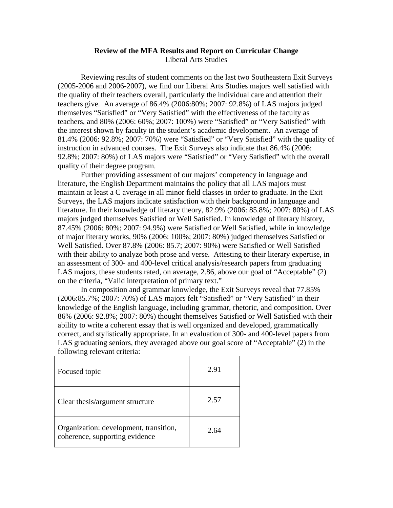## **Review of the MFA Results and Report on Curricular Change**  Liberal Arts Studies

 Reviewing results of student comments on the last two Southeastern Exit Surveys (2005-2006 and 2006-2007), we find our Liberal Arts Studies majors well satisfied with the quality of their teachers overall, particularly the individual care and attention their teachers give. An average of 86.4% (2006:80%; 2007: 92.8%) of LAS majors judged themselves "Satisfied" or "Very Satisfied" with the effectiveness of the faculty as teachers, and 80% (2006: 60%; 2007: 100%) were "Satisfied" or "Very Satisfied" with the interest shown by faculty in the student's academic development. An average of 81.4% (2006: 92.8%; 2007: 70%) were "Satisfied" or "Very Satisfied" with the quality of instruction in advanced courses. The Exit Surveys also indicate that 86.4% (2006: 92.8%; 2007: 80%) of LAS majors were "Satisfied" or "Very Satisfied" with the overall quality of their degree program.

Further providing assessment of our majors' competency in language and literature, the English Department maintains the policy that all LAS majors must maintain at least a C average in all minor field classes in order to graduate. In the Exit Surveys, the LAS majors indicate satisfaction with their background in language and literature. In their knowledge of literary theory, 82.9% (2006: 85.8%; 2007: 80%) of LAS majors judged themselves Satisfied or Well Satisfied. In knowledge of literary history, 87.45% (2006: 80%; 2007: 94.9%) were Satisfied or Well Satisfied, while in knowledge of major literary works, 90% (2006: 100%; 2007: 80%) judged themselves Satisfied or Well Satisfied. Over 87.8% (2006: 85.7; 2007: 90%) were Satisfied or Well Satisfied with their ability to analyze both prose and verse. Attesting to their literary expertise, in an assessment of 300- and 400-level critical analysis/research papers from graduating LAS majors, these students rated, on average, 2.86, above our goal of "Acceptable" (2) on the criteria, "Valid interpretation of primary text."

In composition and grammar knowledge, the Exit Surveys reveal that 77.85% (2006:85.7%; 2007: 70%) of LAS majors felt "Satisfied" or "Very Satisfied" in their knowledge of the English language, including grammar, rhetoric, and composition. Over 86% (2006: 92.8%; 2007: 80%) thought themselves Satisfied or Well Satisfied with their ability to write a coherent essay that is well organized and developed, grammatically correct, and stylistically appropriate. In an evaluation of 300- and 400-level papers from LAS graduating seniors, they averaged above our goal score of "Acceptable" (2) in the following relevant criteria:

| Focused topic                                                            | 2.91 |
|--------------------------------------------------------------------------|------|
| Clear thesis/argument structure                                          | 2.57 |
| Organization: development, transition,<br>coherence, supporting evidence | 2.64 |